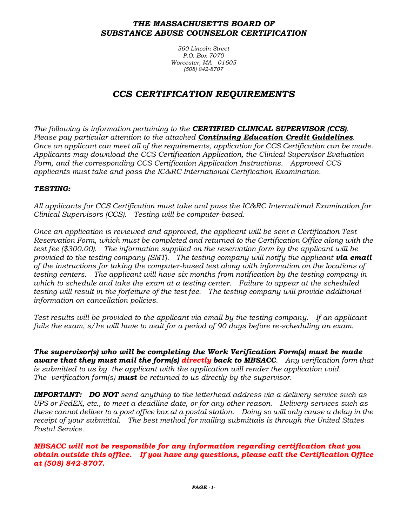#### *THE MASSACHUSETTS BOARD OF SUBSTANCE ABUSE COUNSELOR CERTIFICATION*

*560 Lincoln Street P.O. Box 7070 Worcester, MA 01605 (508) 842-8707*

# *CCS CERTIFICATION REQUIREMENTS*

*The following is information pertaining to the CERTIFIED CLINICAL SUPERVISOR (CCS). Please pay particular attention to the attached Continuing Education Credit Guidelines. Once an applicant can meet all of the requirements, application for CCS Certification can be made. Applicants may download the CCS Certification Application, the Clinical Supervisor Evaluation Form, and the corresponding CCS Certification Application Instructions. Approved CCS applicants must take and pass the IC&RC International Certification Examination.*

#### *TESTING:*

*All applicants for CCS Certification must take and pass the IC&RC International Examination for Clinical Supervisors (CCS). Testing will be computer-based.*

*Once an application is reviewed and approved, the applicant will be sent a Certification Test Reservation Form, which must be completed and returned to the Certification Office along with the test fee (\$300.00). The information supplied on the reservation form by the applicant will be provided to the testing company (SMT). The testing company will notify the applicant via email of the instructions for taking the computer-based test along with information on the locations of testing centers. The applicant will have six months from notification by the testing company in which to schedule and take the exam at a testing center. Failure to appear at the scheduled*  testing will result in the forfeiture of the test fee. The testing company will provide additional *information on cancellation policies.* 

*Test results will be provided to the applicant via email by the testing company. If an applicant fails the exam, s/he will have to wait for a period of 90 days before re-scheduling an exam.*

*The supervisor(s) who will be completing the Work Verification Form(s) must be made aware that they must mail the form(s) directly back to MBSACC. Any verification form that is submitted to us by the applicant with the application will render the application void. The verification form(s) must be returned to us directly by the supervisor.*

*IMPORTANT: DO NOT send anything to the letterhead address via a delivery service such as UPS or FedEX, etc., to meet a deadline date, or for any other reason. Delivery services such as these cannot deliver to a post office box at a postal station. Doing so will only cause a delay in the receipt of your submittal. The best method for mailing submittals is through the United States Postal Service.*

*MBSACC will not be responsible for any information regarding certification that you obtain outside this office. If you have any questions, please call the Certification Office at (508) 842-8707.*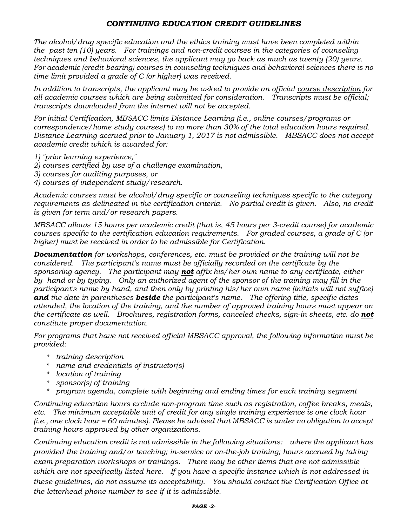### *CONTINUING EDUCATION CREDIT GUIDELINES*

*The alcohol/drug specific education and the ethics training must have been completed within the past ten (10) years. For trainings and non-credit courses in the categories of counseling techniques and behavioral sciences, the applicant may go back as much as twenty (20) years. For academic (credit-bearing) courses in counseling techniques and behavioral sciences there is no time limit provided a grade of C (or higher) was received.*

*In addition to transcripts, the applicant may be asked to provide an official course description for all academic courses which are being submitted for consideration. Transcripts must be official; transcripts downloaded from the internet will not be accepted.*

*For initial Certification, MBSACC limits Distance Learning (i.e., online courses/programs or correspondence/home study courses) to no more than 30% of the total education hours required. Distance Learning accrued prior to January 1, 2017 is not admissible. MBSACC does not accept academic credit which is awarded for:*

- *1) "prior learning experience,"*
- *2) courses certified by use of a challenge examination,*
- *3) courses for auditing purposes, or*
- *4) courses of independent study/research.*

*Academic courses must be alcohol/drug specific or counseling techniques specific to the category requirements as delineated in the certification criteria. No partial credit is given. Also, no credit is given for term and/or research papers.*

*MBSACC allows 15 hours per academic credit (that is, 45 hours per 3-credit course) for academic courses specific to the certification education requirements. For graded courses, a grade of C (or higher) must be received in order to be admissible for Certification.*

*Documentation for workshops, conferences, etc. must be provided or the training will not be considered. The participant's name must be officially recorded on the certificate by the sponsoring agency. The participant may not affix his/her own name to any certificate, either by hand or by typing. Only an authorized agent of the sponsor of the training may fill in the participant's name by hand, and then only by printing his/her own name (initials will not suffice) and the date in parentheses beside the participant's name. The offering title, specific dates attended, the location of the training, and the number of approved training hours must appear on the certificate as well. Brochures, registration forms, canceled checks, sign-in sheets, etc. do not constitute proper documentation.*

*For programs that have not received official MBSACC approval, the following information must be provided:*

- *\* training description*
- *\* name and credentials of instructor(s)*
- *\* location of training*
- *\* sponsor(s) of training*
- *\* program agenda, complete with beginning and ending times for each training segment*

*Continuing education hours exclude non-program time such as registration, coffee breaks, meals, etc. The minimum acceptable unit of credit for any single training experience is one clock hour (i.e., one clock hour = 60 minutes). Please be advised that MBSACC is under no obligation to accept training hours approved by other organizations.*

*Continuing education credit is not admissible in the following situations: where the applicant has provided the training and/or teaching; in-service or on-the-job training; hours accrued by taking exam preparation workshops or trainings. There may be other items that are not admissible which are not specifically listed here. If you have a specific instance which is not addressed in these guidelines, do not assume its acceptability. You should contact the Certification Office at the letterhead phone number to see if it is admissible.*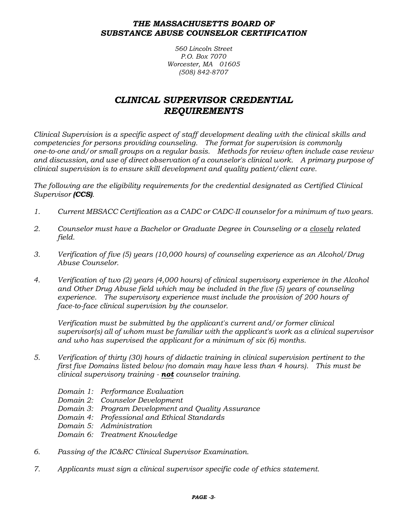#### *THE MASSACHUSETTS BOARD OF SUBSTANCE ABUSE COUNSELOR CERTIFICATION*

*560 Lincoln Street P.O. Box 7070 Worcester, MA 01605 (508) 842-8707*

## *CLINICAL SUPERVISOR CREDENTIAL REQUIREMENTS*

*Clinical Supervision is a specific aspect of staff development dealing with the clinical skills and competencies for persons providing counseling. The format for supervision is commonly one-to-one and/or small groups on a regular basis. Methods for review often include case review and discussion, and use of direct observation of a counselor's clinical work. A primary purpose of clinical supervision is to ensure skill development and quality patient/client care.*

*The following are the eligibility requirements for the credential designated as Certified Clinical Supervisor (CCS).*

- *1. Current MBSACC Certification as a CADC or CADC-II counselor for a minimum of two years.*
- *2. Counselor must have a Bachelor or Graduate Degree in Counseling or a closely related field.*
- *3. Verification of five (5) years (10,000 hours) of counseling experience as an Alcohol/Drug Abuse Counselor.*
- *4. Verification of two (2) years (4,000 hours) of clinical supervisory experience in the Alcohol and Other Drug Abuse field which may be included in the five (5) years of counseling experience. The supervisory experience must include the provision of 200 hours of face-to-face clinical supervision by the counselor.*

*Verification must be submitted by the applicant's current and/or former clinical supervisor(s) all of whom must be familiar with the applicant's work as a clinical supervisor and who has supervised the applicant for a minimum of six (6) months.*

- *5. Verification of thirty (30) hours of didactic training in clinical supervision pertinent to the first five Domains listed below (no domain may have less than 4 hours). This must be clinical supervisory training - not counselor training.*
	- *Domain 1: Performance Evaluation*
	- *Domain 2: Counselor Development*
	- *Domain 3: Program Development and Quality Assurance*
	- *Domain 4: Professional and Ethical Standards*
	- *Domain 5: Administration*
	- *Domain 6: Treatment Knowledge*
- *6. Passing of the IC&RC Clinical Supervisor Examination.*
- *7. Applicants must sign a clinical supervisor specific code of ethics statement.*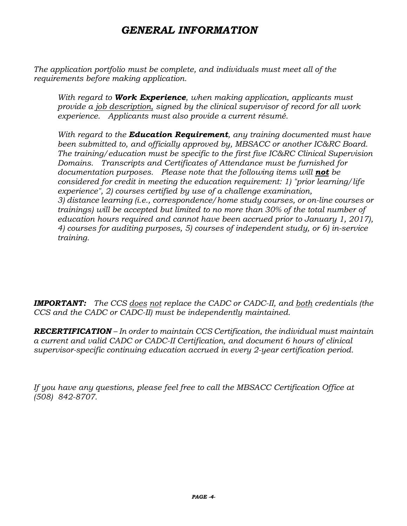# *GENERAL INFORMATION*

*The application portfolio must be complete, and individuals must meet all of the requirements before making application.*

*With regard to Work Experience, when making application, applicants must provide a job description, signed by the clinical supervisor of record for all work experience. Applicants must also provide a current résumé.* 

*With regard to the Education Requirement, any training documented must have been submitted to, and officially approved by, MBSACC or another IC&RC Board. The training/education must be specific to the first five IC&RC Clinical Supervision Domains. Transcripts and Certificates of Attendance must be furnished for documentation purposes. Please note that the following items will not be considered for credit in meeting the education requirement: 1) "prior learning/life experience", 2) courses certified by use of a challenge examination, 3) distance learning (i.e., correspondence/home study courses, or on-line courses or trainings) will be accepted but limited to no more than 30% of the total number of education hours required and cannot have been accrued prior to January 1, 2017), 4) courses for auditing purposes, 5) courses of independent study, or 6) in-service training.*

*IMPORTANT: The CCS does not replace the CADC or CADC-II, and both credentials (the CCS and the CADC or CADC-II) must be independently maintained.*

*RECERTIFICATION – In order to maintain CCS Certification, the individual must maintain a current and valid CADC or CADC-II Certification, and document 6 hours of clinical supervisor-specific continuing education accrued in every 2-year certification period.*

*If you have any questions, please feel free to call the MBSACC Certification Office at (508) 842-8707.*